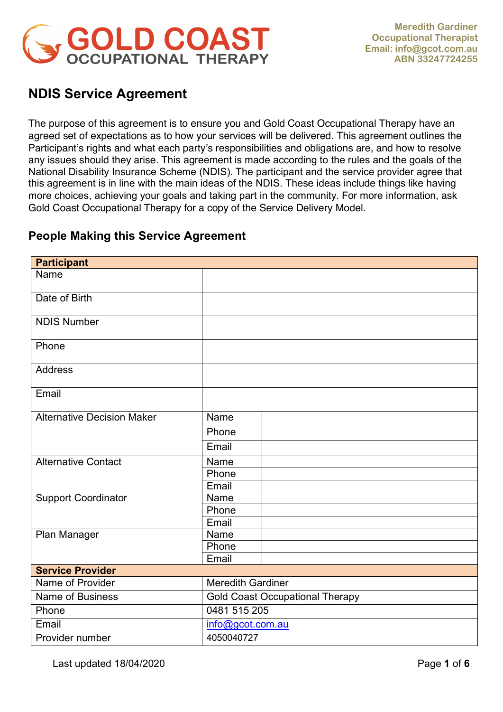

# **NDIS Service Agreement**

The purpose of this agreement is to ensure you and Gold Coast Occupational Therapy have an agreed set of expectations as to how your services will be delivered. This agreement outlines the Participant's rights and what each party's responsibilities and obligations are, and how to resolve any issues should they arise. This agreement is made according to the rules and the goals of the National Disability Insurance Scheme (NDIS). The participant and the service provider agree that this agreement is in line with the main ideas of the NDIS. These ideas include things like having more choices, achieving your goals and taking part in the community. For more information, ask Gold Coast Occupational Therapy for a copy of the Service Delivery Model.

### **People Making this Service Agreement**

| <b>Participant</b>                |                                        |  |  |
|-----------------------------------|----------------------------------------|--|--|
| Name                              |                                        |  |  |
| Date of Birth                     |                                        |  |  |
| <b>NDIS Number</b>                |                                        |  |  |
| Phone                             |                                        |  |  |
| <b>Address</b>                    |                                        |  |  |
| Email                             |                                        |  |  |
| <b>Alternative Decision Maker</b> | Name                                   |  |  |
|                                   | Phone                                  |  |  |
|                                   | Email                                  |  |  |
| <b>Alternative Contact</b>        | Name                                   |  |  |
|                                   | Phone                                  |  |  |
|                                   | Email                                  |  |  |
| <b>Support Coordinator</b>        | Name                                   |  |  |
|                                   | Phone                                  |  |  |
|                                   | Email                                  |  |  |
| Plan Manager                      | Name                                   |  |  |
|                                   | Phone                                  |  |  |
|                                   | Email                                  |  |  |
| <b>Service Provider</b>           |                                        |  |  |
| Name of Provider                  | <b>Meredith Gardiner</b>               |  |  |
| <b>Name of Business</b>           | <b>Gold Coast Occupational Therapy</b> |  |  |
| Phone                             | 0481 515 205                           |  |  |
| Email                             | info@gcot.com.au                       |  |  |
| Provider number                   | 4050040727                             |  |  |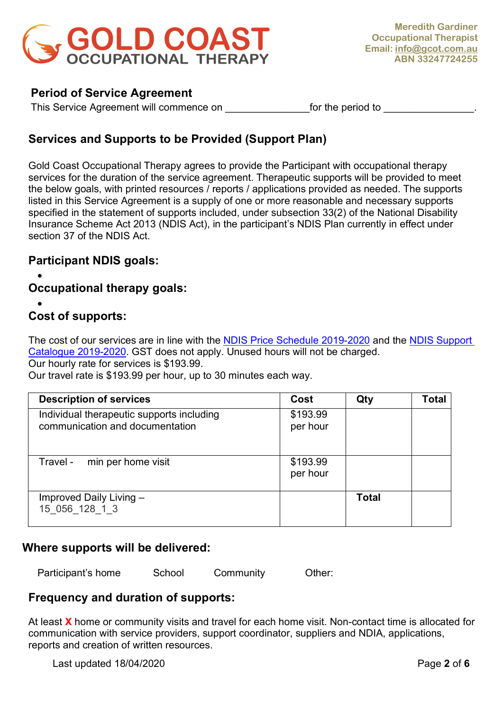

## **Period of Service Agreement**

This Service Agreement will commence on  $\Box$  for the period to

## **Services and Supports to be Provided (Support Plan)**

Gold Coast Occupational Therapy agrees to provide the Participant with occupational therapy services for the duration of the service agreement. Therapeutic supports will be provided to meet the below goals, with printed resources / reports / applications provided as needed. The supports listed in this Service Agreement is a supply of one or more reasonable and necessary supports specified in the statement of supports included, under subsection 33(2) of the National Disability Insurance Scheme Act 2013 (NDIS Act), in the participant's NDIS Plan currently in effect under section 37 of the NDIS Act.

### **Participant NDIS goals:**

#### • **Occupational therapy goals:**

#### • **Cost of supports:**

The cost of our services are in line with the NDIS Price Schedule 2019-2020 and the NDIS Support Catalogue 2019-2020. GST does not apply. Unused hours will not be charged. Our hourly rate for services is \$193.99.

Our travel rate is \$193.99 per hour, up to 30 minutes each way.

| <b>Description of services</b>                                               | Cost                 | Qty          | Total |
|------------------------------------------------------------------------------|----------------------|--------------|-------|
| Individual therapeutic supports including<br>communication and documentation | \$193.99<br>per hour |              |       |
| min per home visit<br>Travel -                                               | \$193.99<br>per hour |              |       |
| Improved Daily Living -<br>15 056 128 1 3                                    |                      | <b>Total</b> |       |

#### **Where supports will be delivered:**

Participant's home School Community Other:

### **Frequency and duration of supports:**

At least **X** home or community visits and travel for each home visit. Non-contact time is allocated for communication with service providers, support coordinator, suppliers and NDIA, applications, reports and creation of written resources.

Last updated 18/04/2020 Page **2** of **6**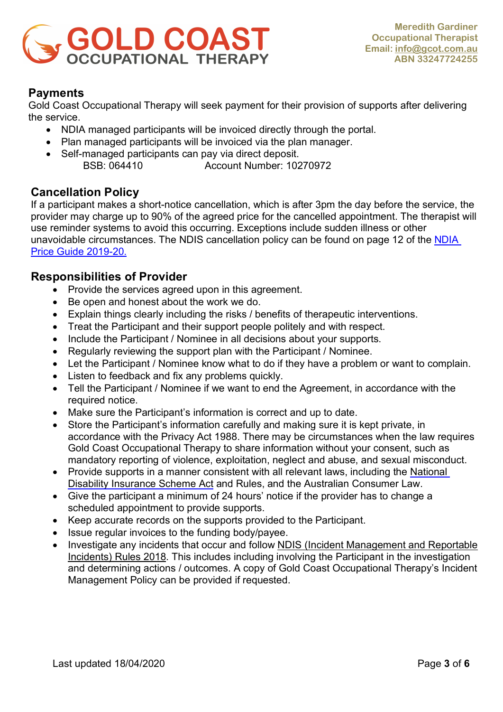

### **Payments**

Gold Coast Occupational Therapy will seek payment for their provision of supports after delivering the service.

- NDIA managed participants will be invoiced directly through the portal.
- Plan managed participants will be invoiced via the plan manager.
- Self-managed participants can pay via direct deposit. BSB: 064410 Account Number: 10270972

### **Cancellation Policy**

If a participant makes a short-notice cancellation, which is after 3pm the day before the service, the provider may charge up to 90% of the agreed price for the cancelled appointment. The therapist will use reminder systems to avoid this occurring. Exceptions include sudden illness or other unavoidable circumstances. The NDIS cancellation policy can be found on page 12 of the NDIA Price Guide 2019-20.

#### **Responsibilities of Provider**

- Provide the services agreed upon in this agreement.
- Be open and honest about the work we do.
- Explain things clearly including the risks / benefits of therapeutic interventions.
- Treat the Participant and their support people politely and with respect.
- Include the Participant / Nominee in all decisions about your supports.
- Regularly reviewing the support plan with the Participant / Nominee.
- Let the Participant / Nominee know what to do if they have a problem or want to complain.
- Listen to feedback and fix any problems quickly.
- Tell the Participant / Nominee if we want to end the Agreement, in accordance with the required notice.
- Make sure the Participant's information is correct and up to date.
- Store the Participant's information carefully and making sure it is kept private, in accordance with the Privacy Act 1988. There may be circumstances when the law requires Gold Coast Occupational Therapy to share information without your consent, such as mandatory reporting of violence, exploitation, neglect and abuse, and sexual misconduct.
- Provide supports in a manner consistent with all relevant laws, including the National Disability Insurance Scheme Act and Rules, and the Australian Consumer Law.
- Give the participant a minimum of 24 hours' notice if the provider has to change a scheduled appointment to provide supports.
- Keep accurate records on the supports provided to the Participant.
- Issue regular invoices to the funding body/payee.
- Investigate any incidents that occur and follow NDIS (Incident Management and Reportable Incidents) Rules 2018. This includes including involving the Participant in the investigation and determining actions / outcomes. A copy of Gold Coast Occupational Therapy's Incident Management Policy can be provided if requested.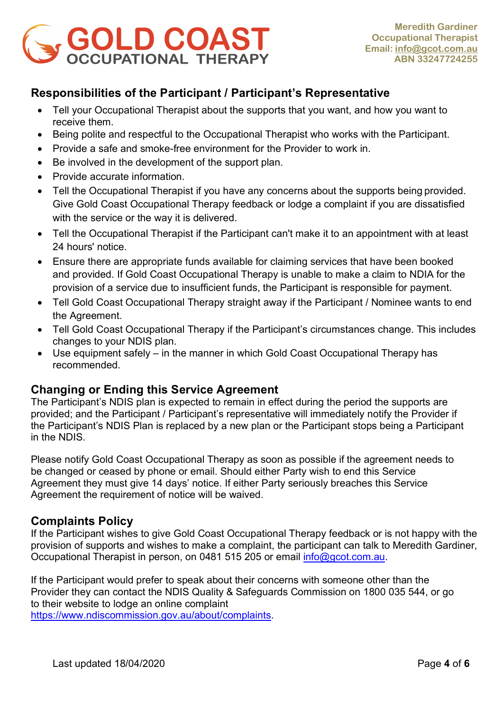

## **Responsibilities of the Participant / Participant's Representative**

- Tell your Occupational Therapist about the supports that you want, and how you want to receive them.
- Being polite and respectful to the Occupational Therapist who works with the Participant.
- Provide a safe and smoke-free environment for the Provider to work in.
- Be involved in the development of the support plan.
- Provide accurate information.
- Tell the Occupational Therapist if you have any concerns about the supports being provided. Give Gold Coast Occupational Therapy feedback or lodge a complaint if you are dissatisfied with the service or the way it is delivered.
- Tell the Occupational Therapist if the Participant can't make it to an appointment with at least 24 hours' notice.
- Ensure there are appropriate funds available for claiming services that have been booked and provided. If Gold Coast Occupational Therapy is unable to make a claim to NDIA for the provision of a service due to insufficient funds, the Participant is responsible for payment.
- Tell Gold Coast Occupational Therapy straight away if the Participant / Nominee wants to end the Agreement.
- Tell Gold Coast Occupational Therapy if the Participant's circumstances change. This includes changes to your NDIS plan.
- Use equipment safely in the manner in which Gold Coast Occupational Therapy has recommended.

### **Changing or Ending this Service Agreement**

The Participant's NDIS plan is expected to remain in effect during the period the supports are provided; and the Participant / Participant's representative will immediately notify the Provider if the Participant's NDIS Plan is replaced by a new plan or the Participant stops being a Participant in the NDIS.

Please notify Gold Coast Occupational Therapy as soon as possible if the agreement needs to be changed or ceased by phone or email. Should either Party wish to end this Service Agreement they must give 14 days' notice. If either Party seriously breaches this Service Agreement the requirement of notice will be waived.

### **Complaints Policy**

If the Participant wishes to give Gold Coast Occupational Therapy feedback or is not happy with the provision of supports and wishes to make a complaint, the participant can talk to Meredith Gardiner, Occupational Therapist in person, on 0481 515 205 or email info@gcot.com.au.

If the Participant would prefer to speak about their concerns with someone other than the Provider they can contact the NDIS Quality & Safeguards Commission on 1800 035 544, or go to their website to lodge an online complaint

https://www.ndiscommission.gov.au/about/complaints.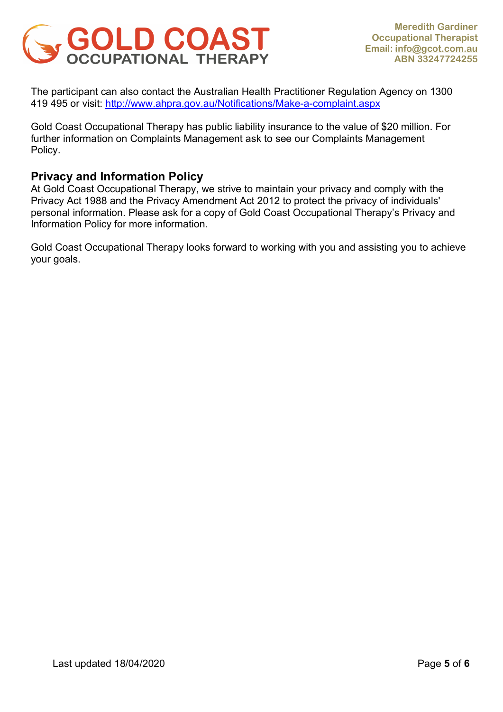

The participant can also contact the Australian Health Practitioner Regulation Agency on 1300 419 495 or visit: http://www.ahpra.gov.au/Notifications/Make-a-complaint.aspx

Gold Coast Occupational Therapy has public liability insurance to the value of \$20 million. For further information on Complaints Management ask to see our Complaints Management Policy.

#### **Privacy and Information Policy**

At Gold Coast Occupational Therapy, we strive to maintain your privacy and comply with the Privacy Act 1988 and the Privacy Amendment Act 2012 to protect the privacy of individuals' personal information. Please ask for a copy of Gold Coast Occupational Therapy's Privacy and Information Policy for more information.

Gold Coast Occupational Therapy looks forward to working with you and assisting you to achieve your goals.